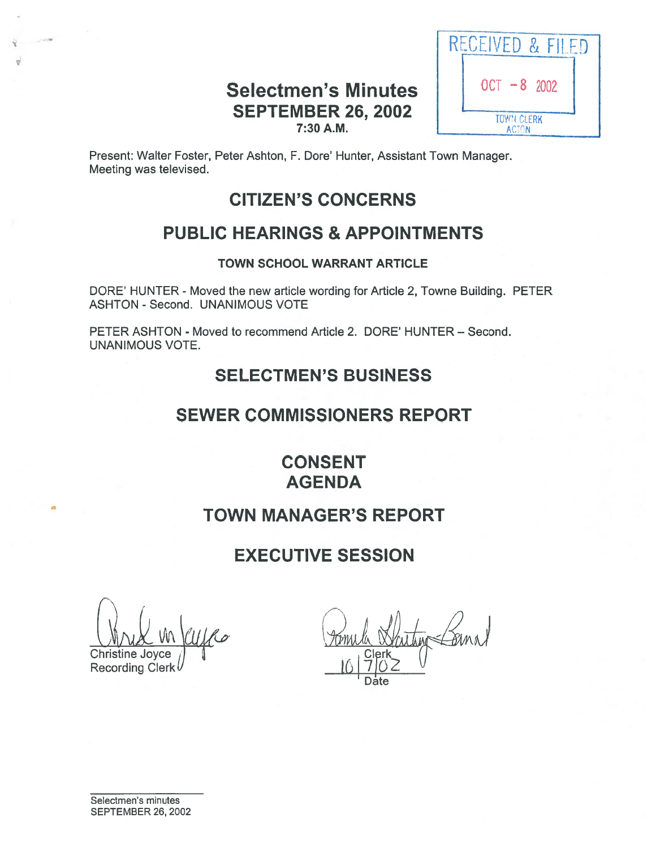## Selectmen's Minutes  $\vert$   $\vert$  0  $^{0}$  CT  $-8$  2002 SEPTEMBER 26, 2002 7:30A.M.



Present: Walter Foster, Peter Ashton, F. Dore' Hunter, Assistant Town Manager. Meeting was televised.

# CITIZEN'S CONCERNS

# PUBLIC HEARINGS & APPOINTMENTS

### TOWN SCHOOL WARRANT ARTICLE

DORE' HUNTER - Moved the new article wording for Article 2, Towne Building. PETER ASHTON - Second. UNANIMOUS VOTE

PETER ASHTON - Moved to recommend Article 2. DORE' HUNTER — Second. UNANIMOUS VOTE.

# SELECTMEN'S BUSINESS

## SEWER COMMISSIONERS REPORT

CONSENT AGENDA

# TOWN MANAGER'S REPORT

# EXECUTIVE SESSION

Mrid in Kuffer Pomila

Christine Joyce<br>Recording Clerk

Date